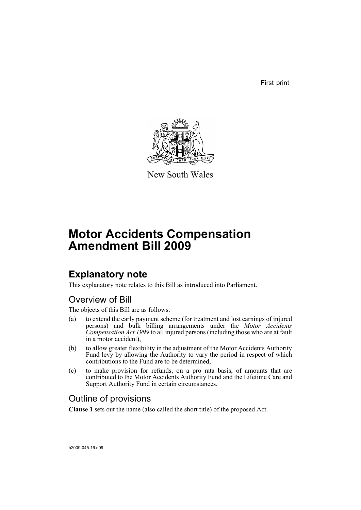First print



New South Wales

# **Motor Accidents Compensation Amendment Bill 2009**

## **Explanatory note**

This explanatory note relates to this Bill as introduced into Parliament.

### Overview of Bill

The objects of this Bill are as follows:

- (a) to extend the early payment scheme (for treatment and lost earnings of injured persons) and bulk billing arrangements under the *Motor Accidents Compensation Act 1999* to all injured persons (including those who are at fault in a motor accident),
- (b) to allow greater flexibility in the adjustment of the Motor Accidents Authority Fund levy by allowing the Authority to vary the period in respect of which contributions to the Fund are to be determined,
- (c) to make provision for refunds, on a pro rata basis, of amounts that are contributed to the Motor Accidents Authority Fund and the Lifetime Care and Support Authority Fund in certain circumstances.

### Outline of provisions

**Clause 1** sets out the name (also called the short title) of the proposed Act.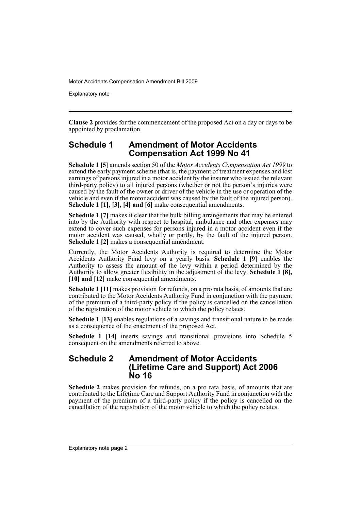Explanatory note

**Clause 2** provides for the commencement of the proposed Act on a day or days to be appointed by proclamation.

#### **Schedule 1 Amendment of Motor Accidents Compensation Act 1999 No 41**

**Schedule 1 [5]** amends section 50 of the *Motor Accidents Compensation Act 1999* to extend the early payment scheme (that is, the payment of treatment expenses and lost earnings of persons injured in a motor accident by the insurer who issued the relevant third-party policy) to all injured persons (whether or not the person's injuries were caused by the fault of the owner or driver of the vehicle in the use or operation of the vehicle and even if the motor accident was caused by the fault of the injured person). **Schedule 1 [1], [3], [4] and [6]** make consequential amendments.

**Schedule 1 [7]** makes it clear that the bulk billing arrangements that may be entered into by the Authority with respect to hospital, ambulance and other expenses may extend to cover such expenses for persons injured in a motor accident even if the motor accident was caused, wholly or partly, by the fault of the injured person. **Schedule 1 [2]** makes a consequential amendment.

Currently, the Motor Accidents Authority is required to determine the Motor Accidents Authority Fund levy on a yearly basis. **Schedule 1 [9]** enables the Authority to assess the amount of the levy within a period determined by the Authority to allow greater flexibility in the adjustment of the levy. **Schedule 1 [8], [10] and [12]** make consequential amendments.

**Schedule 1 [11]** makes provision for refunds, on a pro rata basis, of amounts that are contributed to the Motor Accidents Authority Fund in conjunction with the payment of the premium of a third-party policy if the policy is cancelled on the cancellation of the registration of the motor vehicle to which the policy relates.

**Schedule 1 [13]** enables regulations of a savings and transitional nature to be made as a consequence of the enactment of the proposed Act.

**Schedule 1 [14]** inserts savings and transitional provisions into Schedule 5 consequent on the amendments referred to above.

#### **Schedule 2 Amendment of Motor Accidents (Lifetime Care and Support) Act 2006 No 16**

**Schedule 2** makes provision for refunds, on a pro rata basis, of amounts that are contributed to the Lifetime Care and Support Authority Fund in conjunction with the payment of the premium of a third-party policy if the policy is cancelled on the cancellation of the registration of the motor vehicle to which the policy relates.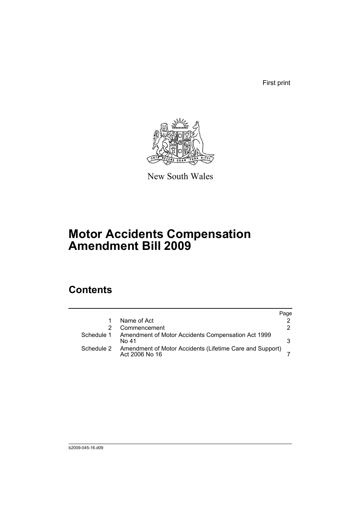First print



New South Wales

# **Motor Accidents Compensation Amendment Bill 2009**

## **Contents**

|            |                                                                            | Page |
|------------|----------------------------------------------------------------------------|------|
|            | Name of Act                                                                |      |
|            | Commencement                                                               | 2    |
| Schedule 1 | Amendment of Motor Accidents Compensation Act 1999<br>No 41                | 3    |
| Schedule 2 | Amendment of Motor Accidents (Lifetime Care and Support)<br>Act 2006 No 16 |      |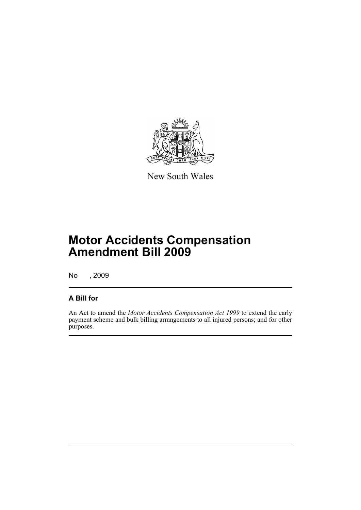

New South Wales

## **Motor Accidents Compensation Amendment Bill 2009**

No , 2009

### **A Bill for**

An Act to amend the *Motor Accidents Compensation Act 1999* to extend the early payment scheme and bulk billing arrangements to all injured persons; and for other purposes.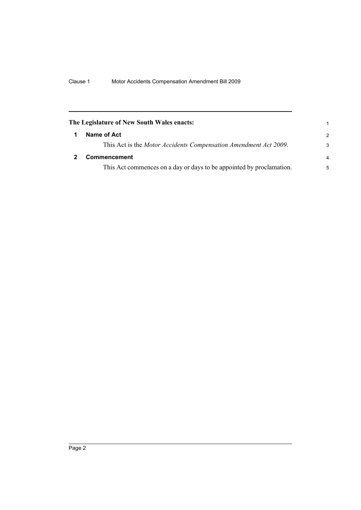<span id="page-5-1"></span><span id="page-5-0"></span>

| The Legislature of New South Wales enacts: |                                                                      | 1             |
|--------------------------------------------|----------------------------------------------------------------------|---------------|
|                                            | Name of Act                                                          | $\mathcal{P}$ |
|                                            | This Act is the Motor Accidents Compensation Amendment Act 2009.     | 3             |
|                                            | <b>Commencement</b>                                                  | 4             |
|                                            | This Act commences on a day or days to be appointed by proclamation. | 5             |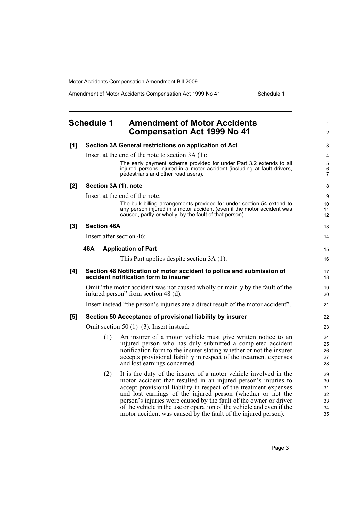Amendment of Motor Accidents Compensation Act 1999 No 41 Schedule 1

1 2

### <span id="page-6-0"></span>**Schedule 1 Amendment of Motor Accidents Compensation Act 1999 No 41**

| [1] |                                                                                                                      | Section 3A General restrictions on application of Act                                                                                                                                                      | 3                   |  |  |
|-----|----------------------------------------------------------------------------------------------------------------------|------------------------------------------------------------------------------------------------------------------------------------------------------------------------------------------------------------|---------------------|--|--|
|     |                                                                                                                      | Insert at the end of the note to section $3A(1)$ :                                                                                                                                                         | 4                   |  |  |
|     |                                                                                                                      | The early payment scheme provided for under Part 3.2 extends to all                                                                                                                                        | $\mathbf 5$         |  |  |
|     |                                                                                                                      | injured persons injured in a motor accident (including at fault drivers,<br>pedestrians and other road users).                                                                                             | 6<br>$\overline{7}$ |  |  |
| [2] | Section 3A (1), note                                                                                                 |                                                                                                                                                                                                            | 8                   |  |  |
|     | Insert at the end of the note:                                                                                       |                                                                                                                                                                                                            |                     |  |  |
|     |                                                                                                                      | The bulk billing arrangements provided for under section 54 extend to<br>any person injured in a motor accident (even if the motor accident was<br>caused, partly or wholly, by the fault of that person). | 10<br>11<br>12      |  |  |
| [3] | <b>Section 46A</b>                                                                                                   |                                                                                                                                                                                                            |                     |  |  |
|     | Insert after section 46:                                                                                             |                                                                                                                                                                                                            |                     |  |  |
|     | 46A                                                                                                                  | <b>Application of Part</b>                                                                                                                                                                                 | 15                  |  |  |
|     |                                                                                                                      | This Part applies despite section 3A (1).                                                                                                                                                                  | 16                  |  |  |
| [4] | Section 48 Notification of motor accident to police and submission of<br>accident notification form to insurer       |                                                                                                                                                                                                            |                     |  |  |
|     | Omit "the motor accident was not caused wholly or mainly by the fault of the<br>injured person" from section 48 (d). |                                                                                                                                                                                                            |                     |  |  |
|     |                                                                                                                      | Insert instead "the person's injuries are a direct result of the motor accident".                                                                                                                          | 21                  |  |  |
| [5] |                                                                                                                      | Section 50 Acceptance of provisional liability by insurer                                                                                                                                                  | 22                  |  |  |
|     | Omit section 50 $(1)$ – $(3)$ . Insert instead:                                                                      |                                                                                                                                                                                                            |                     |  |  |
|     | (1)                                                                                                                  | An insurer of a motor vehicle must give written notice to an                                                                                                                                               | 24                  |  |  |
|     |                                                                                                                      | injured person who has duly submitted a completed accident                                                                                                                                                 | 25                  |  |  |
|     |                                                                                                                      | notification form to the insurer stating whether or not the insurer<br>accepts provisional liability in respect of the treatment expenses                                                                  | 26<br>27            |  |  |
|     |                                                                                                                      | and lost earnings concerned.                                                                                                                                                                               | 28                  |  |  |
|     | (2)                                                                                                                  | It is the duty of the insurer of a motor vehicle involved in the                                                                                                                                           | 29                  |  |  |
|     |                                                                                                                      | motor accident that resulted in an injured person's injuries to                                                                                                                                            | 30                  |  |  |
|     |                                                                                                                      | accept provisional liability in respect of the treatment expenses<br>and lost earnings of the injured person (whether or not the                                                                           | 31<br>32            |  |  |
|     |                                                                                                                      | person's injuries were caused by the fault of the owner or driver                                                                                                                                          | 33                  |  |  |
|     |                                                                                                                      | of the vehicle in the use or operation of the vehicle and even if the                                                                                                                                      | 34                  |  |  |
|     |                                                                                                                      | motor accident was caused by the fault of the injured person).                                                                                                                                             | 35                  |  |  |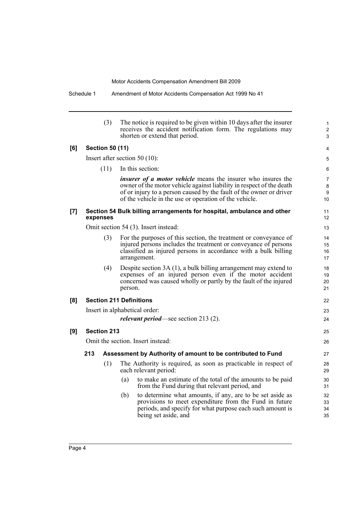1 2 3

22 23 24

25 26

|     |                                                                                    | (3)                    | The notice is required to be given within 10 days after the insurer<br>receives the accident notification form. The regulations may<br>shorten or extend that period.                                                                                                        |  |  |
|-----|------------------------------------------------------------------------------------|------------------------|------------------------------------------------------------------------------------------------------------------------------------------------------------------------------------------------------------------------------------------------------------------------------|--|--|
| [6] |                                                                                    | <b>Section 50 (11)</b> |                                                                                                                                                                                                                                                                              |  |  |
|     |                                                                                    |                        | Insert after section 50 $(10)$ :                                                                                                                                                                                                                                             |  |  |
|     |                                                                                    | (11)                   | In this section:                                                                                                                                                                                                                                                             |  |  |
|     |                                                                                    |                        | <i>insurer of a motor vehicle</i> means the insurer who insures the<br>owner of the motor vehicle against liability in respect of the death<br>of or injury to a person caused by the fault of the owner or driver<br>of the vehicle in the use or operation of the vehicle. |  |  |
| [7] | Section 54 Bulk billing arrangements for hospital, ambulance and other<br>expenses |                        |                                                                                                                                                                                                                                                                              |  |  |
|     |                                                                                    |                        | Omit section 54 (3). Insert instead:                                                                                                                                                                                                                                         |  |  |
|     |                                                                                    | (3)                    | For the purposes of this section, the treatment or conveyance of<br>injured persons includes the treatment or conveyance of persons<br>classified as injured persons in accordance with a bulk billing<br>arrangement.                                                       |  |  |
|     |                                                                                    | (4)                    | Despite section 3A (1), a bulk billing arrangement may extend to<br>expenses of an injured person even if the motor accident<br>concerned was caused wholly or partly by the fault of the injured<br>person.                                                                 |  |  |
| [8] |                                                                                    |                        | <b>Section 211 Definitions</b>                                                                                                                                                                                                                                               |  |  |
|     | Insert in alphabetical order:                                                      |                        |                                                                                                                                                                                                                                                                              |  |  |
|     |                                                                                    |                        | <i>relevant period</i> —see section 213 (2).                                                                                                                                                                                                                                 |  |  |
| [9] |                                                                                    | <b>Section 213</b>     |                                                                                                                                                                                                                                                                              |  |  |
|     | Omit the section. Insert instead:                                                  |                        |                                                                                                                                                                                                                                                                              |  |  |
|     | 213                                                                                |                        | Assessment by Authority of amount to be contributed to Fund                                                                                                                                                                                                                  |  |  |
|     |                                                                                    | (1)                    | The Authority is required, as soon as practicable in respect of<br>each relevant period:                                                                                                                                                                                     |  |  |
|     |                                                                                    |                        | to make an estimate of the total of the amounts to be paid<br>(a)<br>from the Fund during that relevant period, and                                                                                                                                                          |  |  |
|     |                                                                                    |                        | to determine what amounts, if any, are to be set aside as<br>(b)<br>provisions to meet expenditure from the Fund in future<br>periods, and specify for what purpose each such amount is<br>being set aside, and                                                              |  |  |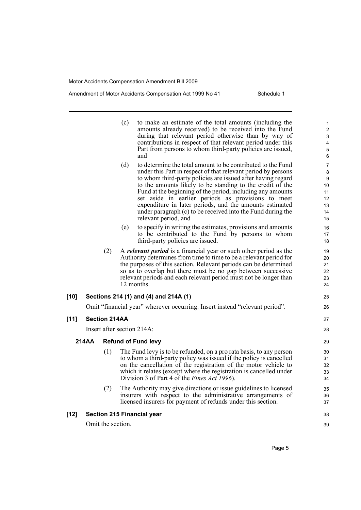#### Amendment of Motor Accidents Compensation Act 1999 No 41 Schedule 1

|        |                                       |     | (c) | to make an estimate of the total amounts (including the<br>amounts already received) to be received into the Fund | 1<br>$\overline{2}$ |
|--------|---------------------------------------|-----|-----|-------------------------------------------------------------------------------------------------------------------|---------------------|
|        |                                       |     |     | during that relevant period otherwise than by way of                                                              | $\mathsf 3$         |
|        |                                       |     |     | contributions in respect of that relevant period under this                                                       | 4                   |
|        |                                       |     |     | Part from persons to whom third-party policies are issued,                                                        | 5                   |
|        |                                       |     |     | and                                                                                                               | 6                   |
|        |                                       |     | (d) | to determine the total amount to be contributed to the Fund                                                       | 7                   |
|        |                                       |     |     | under this Part in respect of that relevant period by persons                                                     | 8                   |
|        |                                       |     |     | to whom third-party policies are issued after having regard                                                       | 9                   |
|        |                                       |     |     | to the amounts likely to be standing to the credit of the                                                         | 10                  |
|        |                                       |     |     | Fund at the beginning of the period, including any amounts<br>set aside in earlier periods as provisions to meet  | 11                  |
|        |                                       |     |     | expenditure in later periods, and the amounts estimated                                                           | 12<br>13            |
|        |                                       |     |     | under paragraph (c) to be received into the Fund during the                                                       | 14                  |
|        |                                       |     |     | relevant period, and                                                                                              | 15                  |
|        |                                       |     | (e) | to specify in writing the estimates, provisions and amounts                                                       | 16                  |
|        |                                       |     |     | to be contributed to the Fund by persons to whom                                                                  | 17                  |
|        |                                       |     |     | third-party policies are issued.                                                                                  | 18                  |
|        |                                       | (2) |     | A <i>relevant period</i> is a financial year or such other period as the                                          | 19                  |
|        |                                       |     |     | Authority determines from time to time to be a relevant period for                                                | 20                  |
|        |                                       |     |     | the purposes of this section. Relevant periods can be determined                                                  | 21                  |
|        |                                       |     |     | so as to overlap but there must be no gap between successive                                                      | 22                  |
|        |                                       |     |     | relevant periods and each relevant period must not be longer than                                                 | 23                  |
|        |                                       |     |     | 12 months.                                                                                                        | 24                  |
| $[10]$ | Sections 214 (1) and (4) and 214A (1) |     |     |                                                                                                                   | 25                  |
|        |                                       |     |     | Omit "financial year" wherever occurring. Insert instead "relevant period".                                       | 26                  |
| $[11]$ | <b>Section 214AA</b>                  |     |     |                                                                                                                   | 27                  |
|        |                                       |     |     | Insert after section 214A:                                                                                        | 28                  |
|        | 214AA                                 |     |     | <b>Refund of Fund levy</b>                                                                                        | 29                  |
|        |                                       | (1) |     | The Fund levy is to be refunded, on a pro rata basis, to any person                                               | 30                  |
|        |                                       |     |     | to whom a third-party policy was issued if the policy is cancelled                                                | 31                  |
|        |                                       |     |     | on the cancellation of the registration of the motor vehicle to                                                   | 32                  |
|        |                                       |     |     | which it relates (except where the registration is cancelled under                                                | 33                  |
|        |                                       |     |     | Division 3 of Part 4 of the Fines Act 1996).                                                                      | 34                  |
|        |                                       | (2) |     | The Authority may give directions or issue guidelines to licensed                                                 | 35                  |
|        |                                       |     |     | insurers with respect to the administrative arrangements of                                                       | 36                  |
|        |                                       |     |     | licensed insurers for payment of refunds under this section.                                                      | 37                  |
| $[12]$ |                                       |     |     | <b>Section 215 Financial year</b>                                                                                 | 38                  |
|        | Omit the section.                     |     |     |                                                                                                                   |                     |

Page 5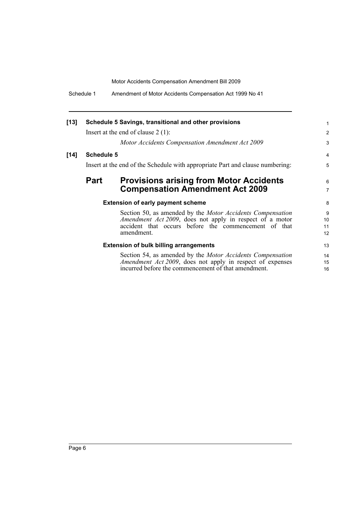Schedule 1 Amendment of Motor Accidents Compensation Act 1999 No 41

| $[13]$                                        |                                                                               | Schedule 5 Savings, transitional and other provisions             | 1               |
|-----------------------------------------------|-------------------------------------------------------------------------------|-------------------------------------------------------------------|-----------------|
|                                               |                                                                               | Insert at the end of clause $2(1)$ :                              | 2               |
|                                               |                                                                               | Motor Accidents Compensation Amendment Act 2009                   | 3               |
| $[14]$                                        | <b>Schedule 5</b>                                                             |                                                                   | 4               |
|                                               | Insert at the end of the Schedule with appropriate Part and clause numbering: |                                                                   |                 |
|                                               | Part                                                                          | <b>Provisions arising from Motor Accidents</b>                    | 6               |
|                                               |                                                                               | <b>Compensation Amendment Act 2009</b>                            | $\overline{7}$  |
|                                               |                                                                               | <b>Extension of early payment scheme</b>                          | 8               |
|                                               |                                                                               | Section 50, as amended by the <i>Motor Accidents Compensation</i> | 9               |
|                                               |                                                                               | <i>Amendment Act 2009</i> , does not apply in respect of a motor  | 10 <sup>1</sup> |
|                                               |                                                                               | accident that occurs before the commencement of that              | 11              |
|                                               |                                                                               | amendment.                                                        | 12              |
| <b>Extension of bulk billing arrangements</b> |                                                                               |                                                                   |                 |
|                                               |                                                                               | Section 54, as amended by the <i>Motor Accidents Compensation</i> | 14              |
|                                               |                                                                               | Amendment Act 2009, does not apply in respect of expenses         | 15              |
|                                               |                                                                               | incurred before the commencement of that amendment.               | 16              |